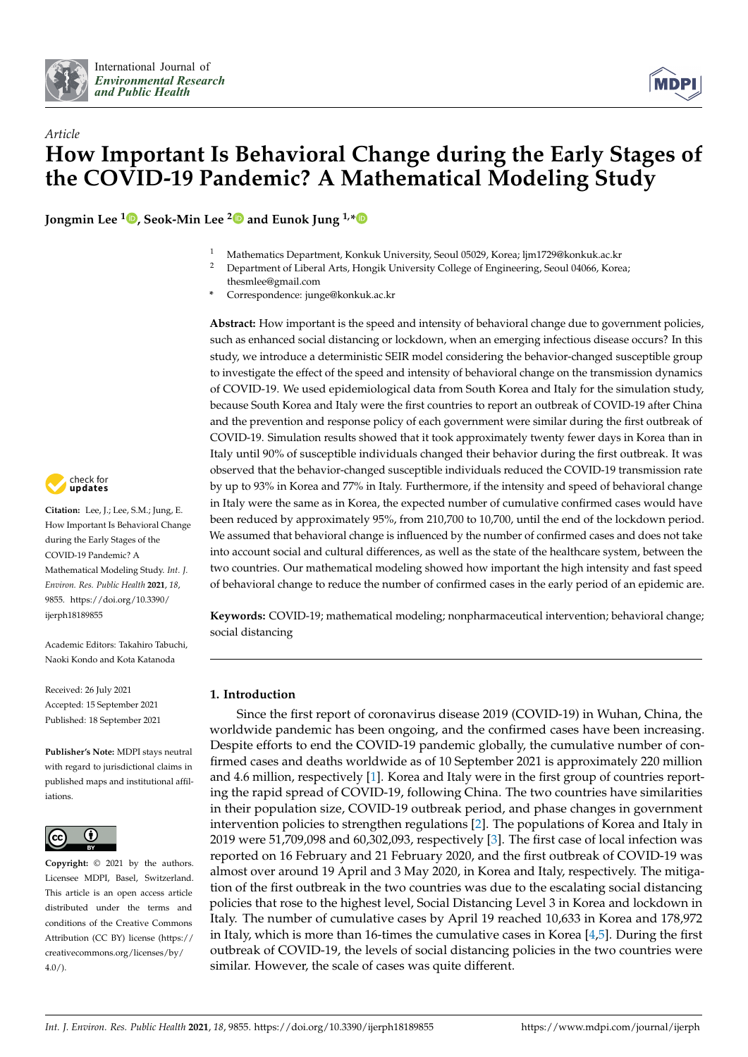



# *Article* **How Important Is Behavioral Change during the Early Stages of the COVID-19 Pandemic? A Mathematical Modeling Study**

**Jongmin Lee [1](https://orcid.org/0000-0002-4973-0333) , Seok-Min Lee [2](https://orcid.org/0000-0002-8138-1532) and Eunok Jung 1,[\\*](https://orcid.org/0000-0002-7411-3134)**

- <sup>1</sup> Mathematics Department, Konkuk University, Seoul 05029, Korea; ljm1729@konkuk.ac.kr
- <sup>2</sup> Department of Liberal Arts, Hongik University College of Engineering, Seoul 04066, Korea; thesmlee@gmail.com
- **\*** Correspondence: junge@konkuk.ac.kr

**Abstract:** How important is the speed and intensity of behavioral change due to government policies, such as enhanced social distancing or lockdown, when an emerging infectious disease occurs? In this study, we introduce a deterministic SEIR model considering the behavior-changed susceptible group to investigate the effect of the speed and intensity of behavioral change on the transmission dynamics of COVID-19. We used epidemiological data from South Korea and Italy for the simulation study, because South Korea and Italy were the first countries to report an outbreak of COVID-19 after China and the prevention and response policy of each government were similar during the first outbreak of COVID-19. Simulation results showed that it took approximately twenty fewer days in Korea than in Italy until 90% of susceptible individuals changed their behavior during the first outbreak. It was observed that the behavior-changed susceptible individuals reduced the COVID-19 transmission rate by up to 93% in Korea and 77% in Italy. Furthermore, if the intensity and speed of behavioral change in Italy were the same as in Korea, the expected number of cumulative confirmed cases would have been reduced by approximately 95%, from 210,700 to 10,700, until the end of the lockdown period. We assumed that behavioral change is influenced by the number of confirmed cases and does not take into account social and cultural differences, as well as the state of the healthcare system, between the two countries. Our mathematical modeling showed how important the high intensity and fast speed of behavioral change to reduce the number of confirmed cases in the early period of an epidemic are.

**Keywords:** COVID-19; mathematical modeling; nonpharmaceutical intervention; behavioral change; social distancing

# **1. Introduction**

Since the first report of coronavirus disease 2019 (COVID-19) in Wuhan, China, the worldwide pandemic has been ongoing, and the confirmed cases have been increasing. Despite efforts to end the COVID-19 pandemic globally, the cumulative number of confirmed cases and deaths worldwide as of 10 September 2021 is approximately 220 million and 4.6 million, respectively [\[1\]](#page-9-0). Korea and Italy were in the first group of countries reporting the rapid spread of COVID-19, following China. The two countries have similarities in their population size, COVID-19 outbreak period, and phase changes in government intervention policies to strengthen regulations [\[2\]](#page-9-1). The populations of Korea and Italy in 2019 were 51,709,098 and 60,302,093, respectively [\[3\]](#page-10-0). The first case of local infection was reported on 16 February and 21 February 2020, and the first outbreak of COVID-19 was almost over around 19 April and 3 May 2020, in Korea and Italy, respectively. The mitigation of the first outbreak in the two countries was due to the escalating social distancing policies that rose to the highest level, Social Distancing Level 3 in Korea and lockdown in Italy. The number of cumulative cases by April 19 reached 10,633 in Korea and 178,972 in Italy, which is more than 16-times the cumulative cases in Korea [\[4](#page-10-1)[,5\]](#page-10-2). During the first outbreak of COVID-19, the levels of social distancing policies in the two countries were similar. However, the scale of cases was quite different.



**Citation:** Lee, J.; Lee, S.M.; Jung, E. How Important Is Behavioral Change during the Early Stages of the COVID-19 Pandemic? A Mathematical Modeling Study. *Int. J. Environ. Res. Public Health* **2021**, *18*, 9855. [https://doi.org/10.3390/](https://doi.org/10.3390/ijerph18189855) [ijerph18189855](https://doi.org/10.3390/ijerph18189855)

Academic Editors: Takahiro Tabuchi, Naoki Kondo and Kota Katanoda

Received: 26 July 2021 Accepted: 15 September 2021 Published: 18 September 2021

**Publisher's Note:** MDPI stays neutral with regard to jurisdictional claims in published maps and institutional affiliations.



**Copyright:** © 2021 by the authors. Licensee MDPI, Basel, Switzerland. This article is an open access article distributed under the terms and conditions of the Creative Commons Attribution (CC BY) license (https:/[/](https://creativecommons.org/licenses/by/4.0/) [creativecommons.org/licenses/by/](https://creativecommons.org/licenses/by/4.0/) 4.0/).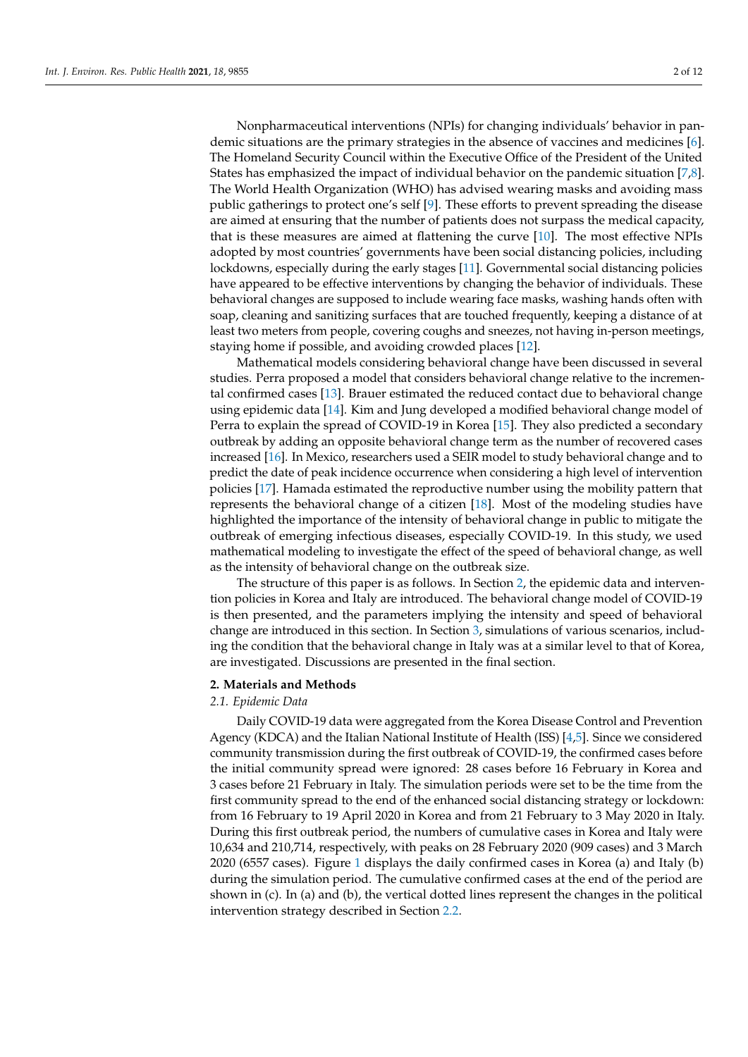Nonpharmaceutical interventions (NPIs) for changing individuals' behavior in pandemic situations are the primary strategies in the absence of vaccines and medicines [\[6\]](#page-10-3). The Homeland Security Council within the Executive Office of the President of the United States has emphasized the impact of individual behavior on the pandemic situation [\[7](#page-10-4)[,8\]](#page-10-5). The World Health Organization (WHO) has advised wearing masks and avoiding mass public gatherings to protect one's self [\[9\]](#page-10-6). These efforts to prevent spreading the disease are aimed at ensuring that the number of patients does not surpass the medical capacity, that is these measures are aimed at flattening the curve [\[10\]](#page-10-7). The most effective NPIs adopted by most countries' governments have been social distancing policies, including lockdowns, especially during the early stages [\[11\]](#page-10-8). Governmental social distancing policies have appeared to be effective interventions by changing the behavior of individuals. These behavioral changes are supposed to include wearing face masks, washing hands often with soap, cleaning and sanitizing surfaces that are touched frequently, keeping a distance of at least two meters from people, covering coughs and sneezes, not having in-person meetings, staying home if possible, and avoiding crowded places [\[12\]](#page-10-9).

Mathematical models considering behavioral change have been discussed in several studies. Perra proposed a model that considers behavioral change relative to the incremental confirmed cases [\[13\]](#page-10-10). Brauer estimated the reduced contact due to behavioral change using epidemic data [\[14\]](#page-10-11). Kim and Jung developed a modified behavioral change model of Perra to explain the spread of COVID-19 in Korea [\[15\]](#page-10-12). They also predicted a secondary outbreak by adding an opposite behavioral change term as the number of recovered cases increased [\[16\]](#page-10-13). In Mexico, researchers used a SEIR model to study behavioral change and to predict the date of peak incidence occurrence when considering a high level of intervention policies [\[17\]](#page-10-14). Hamada estimated the reproductive number using the mobility pattern that represents the behavioral change of a citizen [\[18\]](#page-10-15). Most of the modeling studies have highlighted the importance of the intensity of behavioral change in public to mitigate the outbreak of emerging infectious diseases, especially COVID-19. In this study, we used mathematical modeling to investigate the effect of the speed of behavioral change, as well as the intensity of behavioral change on the outbreak size.

The structure of this paper is as follows. In Section [2,](#page-1-0) the epidemic data and intervention policies in Korea and Italy are introduced. The behavioral change model of COVID-19 is then presented, and the parameters implying the intensity and speed of behavioral change are introduced in this section. In Section [3,](#page-4-0) simulations of various scenarios, including the condition that the behavioral change in Italy was at a similar level to that of Korea, are investigated. Discussions are presented in the final section.

## <span id="page-1-0"></span>**2. Materials and Methods**

## *2.1. Epidemic Data*

Daily COVID-19 data were aggregated from the Korea Disease Control and Prevention Agency (KDCA) and the Italian National Institute of Health (ISS) [\[4](#page-10-1)[,5\]](#page-10-2). Since we considered community transmission during the first outbreak of COVID-19, the confirmed cases before the initial community spread were ignored: 28 cases before 16 February in Korea and 3 cases before 21 February in Italy. The simulation periods were set to be the time from the first community spread to the end of the enhanced social distancing strategy or lockdown: from 16 February to 19 April 2020 in Korea and from 21 February to 3 May 2020 in Italy. During this first outbreak period, the numbers of cumulative cases in Korea and Italy were 10,634 and 210,714, respectively, with peaks on 28 February 2020 (909 cases) and 3 March 2020 (6557 cases). Figure [1](#page-2-0) displays the daily confirmed cases in Korea (a) and Italy (b) during the simulation period. The cumulative confirmed cases at the end of the period are shown in (c). In (a) and (b), the vertical dotted lines represent the changes in the political intervention strategy described in Section [2.2.](#page-2-1)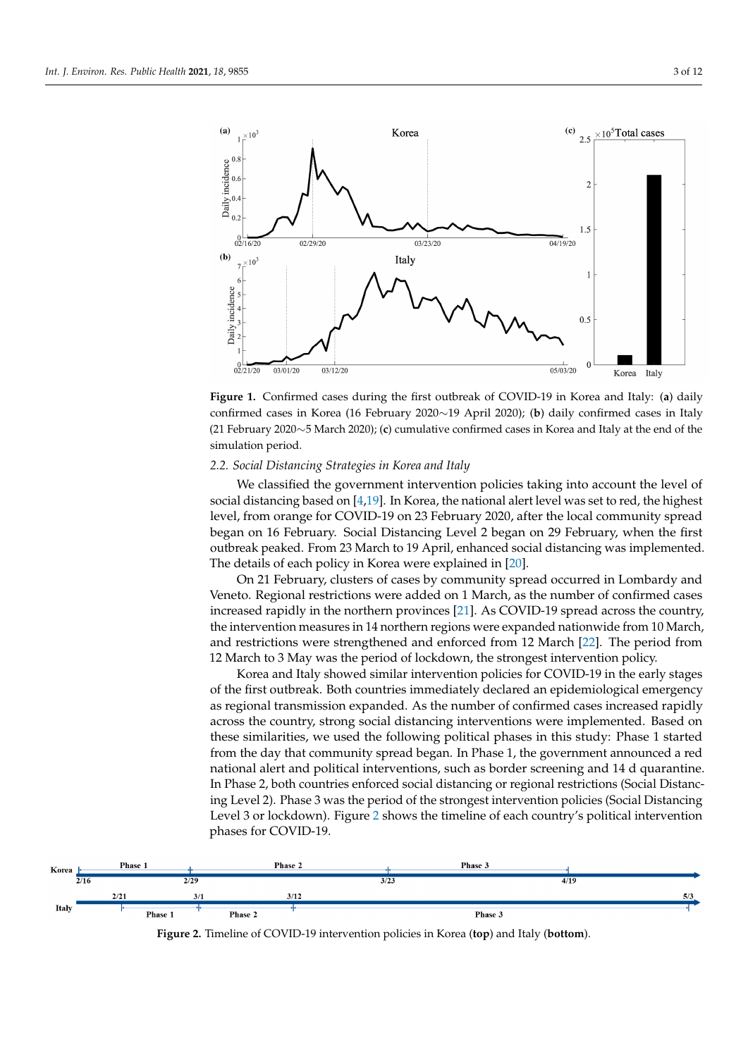<span id="page-2-0"></span>

**Figure 1.** Confirmed cases during the first outbreak of COVID-19 in Korea and Italy: (**a**) daily confirmed cases in Korea (16 February 2020∼19 April 2020); (**b**) daily confirmed cases in Italy (21 February 2020∼5 March 2020); (**c**) cumulative confirmed cases in Korea and Italy at the end of the simulation period.

# <span id="page-2-1"></span>*2.2. Social Distancing Strategies in Korea and Italy*

We classified the government intervention policies taking into account the level of social distancing based on [\[4](#page-10-1)[,19\]](#page-10-16). In Korea, the national alert level was set to red, the highest level, from orange for COVID-19 on 23 February 2020, after the local community spread began on 16 February. Social Distancing Level 2 began on 29 February, when the first outbreak peaked. From 23 March to 19 April, enhanced social distancing was implemented. The details of each policy in Korea were explained in [\[20\]](#page-10-17).

On 21 February, clusters of cases by community spread occurred in Lombardy and Veneto. Regional restrictions were added on 1 March, as the number of confirmed cases increased rapidly in the northern provinces [\[21\]](#page-10-18). As COVID-19 spread across the country, the intervention measures in 14 northern regions were expanded nationwide from 10 March, and restrictions were strengthened and enforced from 12 March [\[22\]](#page-10-19). The period from 12 March to 3 May was the period of lockdown, the strongest intervention policy.

Korea and Italy showed similar intervention policies for COVID-19 in the early stages of the first outbreak. Both countries immediately declared an epidemiological emergency as regional transmission expanded. As the number of confirmed cases increased rapidly across the country, strong social distancing interventions were implemented. Based on these similarities, we used the following political phases in this study: Phase 1 started from the day that community spread began. In Phase 1, the government announced a red national alert and political interventions, such as border screening and 14 d quarantine. In Phase 2, both countries enforced social distancing or regional restrictions (Social Distancing Level 2). Phase 3 was the period of the strongest intervention policies (Social Distancing Level 3 or lockdown). Figure [2](#page-2-2) shows the timeline of each country's political intervention phases for COVID-19.

<span id="page-2-2"></span>

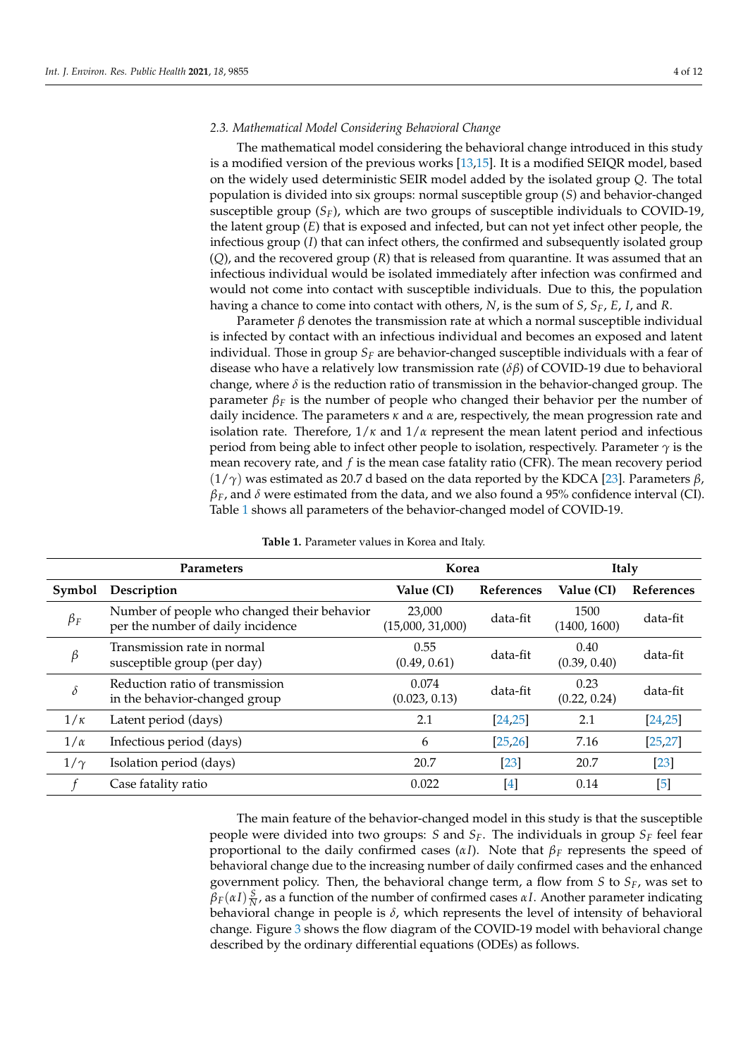## *2.3. Mathematical Model Considering Behavioral Change*

The mathematical model considering the behavioral change introduced in this study is a modified version of the previous works [\[13,](#page-10-10)[15\]](#page-10-12). It is a modified SEIQR model, based on the widely used deterministic SEIR model added by the isolated group *Q*. The total population is divided into six groups: normal susceptible group (*S*) and behavior-changed susceptible group  $(S_F)$ , which are two groups of susceptible individuals to COVID-19, the latent group (*E*) that is exposed and infected, but can not yet infect other people, the infectious group (*I*) that can infect others, the confirmed and subsequently isolated group (*Q*), and the recovered group (*R*) that is released from quarantine. It was assumed that an infectious individual would be isolated immediately after infection was confirmed and would not come into contact with susceptible individuals. Due to this, the population having a chance to come into contact with others, *N*, is the sum of *S*, *SF*, *E*, *I*, and *R*.

Parameter  $\beta$  denotes the transmission rate at which a normal susceptible individual is infected by contact with an infectious individual and becomes an exposed and latent individual. Those in group *S<sup>F</sup>* are behavior-changed susceptible individuals with a fear of disease who have a relatively low transmission rate (*δβ*) of COVID-19 due to behavioral change, where *δ* is the reduction ratio of transmission in the behavior-changed group. The parameter  $\beta_F$  is the number of people who changed their behavior per the number of daily incidence. The parameters *κ* and *α* are, respectively, the mean progression rate and isolation rate. Therefore,  $1/\kappa$  and  $1/\alpha$  represent the mean latent period and infectious period from being able to infect other people to isolation, respectively. Parameter  $\gamma$  is the mean recovery rate, and *f* is the mean case fatality ratio (CFR). The mean recovery period (1/*γ*) was estimated as 20.7 d based on the data reported by the KDCA [\[23\]](#page-10-20). Parameters *β*, *βF*, and *δ* were estimated from the data, and we also found a 95% confidence interval (CI). Table [1](#page-3-0) shows all parameters of the behavior-changed model of COVID-19.

<span id="page-3-0"></span>

| <b>Parameters</b> |                                                                                  | Korea                      |                   | Italy                |                   |
|-------------------|----------------------------------------------------------------------------------|----------------------------|-------------------|----------------------|-------------------|
| Symbol            | Description                                                                      | Value (CI)                 | <b>References</b> | Value (CI)           | <b>References</b> |
| $\beta_F$         | Number of people who changed their behavior<br>per the number of daily incidence | 23,000<br>(15,000, 31,000) | data-fit          | 1500<br>(1400, 1600) | data-fit          |
| $\beta$           | Transmission rate in normal<br>susceptible group (per day)                       | 0.55<br>(0.49, 0.61)       | data-fit          | 0.40<br>(0.39, 0.40) | data-fit          |
| $\delta$          | Reduction ratio of transmission<br>in the behavior-changed group                 | 0.074<br>(0.023, 0.13)     | data-fit          | 0.23<br>(0.22, 0.24) | data-fit          |
| $1/\kappa$        | Latent period (days)                                                             | 2.1                        | [24, 25]          | 2.1                  | [24, 25]          |
| $1/\alpha$        | Infectious period (days)                                                         | 6                          | [25, 26]          | 7.16                 | [25, 27]          |
| $1/\gamma$        | Isolation period (days)                                                          | 20.7                       | $\left[23\right]$ | 20.7                 | $[23]$            |
|                   | Case fatality ratio                                                              | 0.022                      | $[4]$             | 0.14                 | $[5]$             |

**Table 1.** Parameter values in Korea and Italy.

The main feature of the behavior-changed model in this study is that the susceptible people were divided into two groups: *S* and  $S_F$ . The individuals in group  $S_F$  feel fear proportional to the daily confirmed cases (*αI*). Note that *β<sup>F</sup>* represents the speed of behavioral change due to the increasing number of daily confirmed cases and the enhanced government policy. Then, the behavioral change term, a flow from *S* to *SF*, was set to  $\beta_F(\alpha I) \frac{S}{N}$ , as a function of the number of confirmed cases  $\alpha I$ . Another parameter indicating behavioral change in people is  $\delta$ , which represents the level of intensity of behavioral change. Figure [3](#page-4-1) shows the flow diagram of the COVID-19 model with behavioral change described by the ordinary differential equations (ODEs) as follows.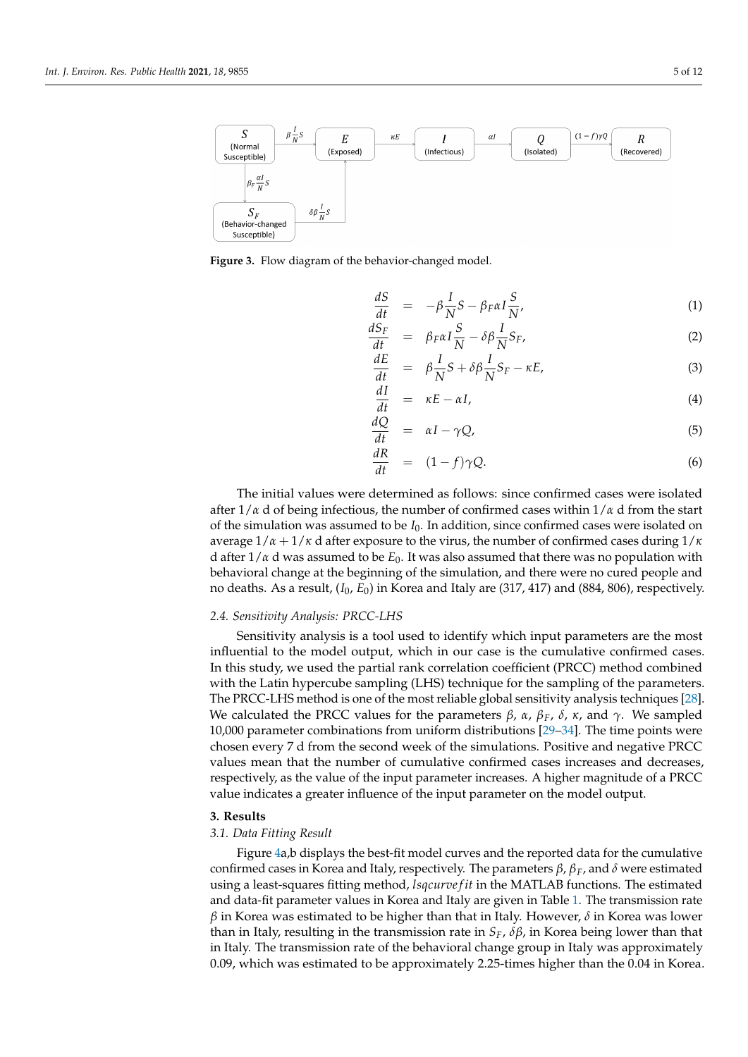<span id="page-4-1"></span>

**Figure 3.** Flow diagram of the behavior-changed model.

$$
\frac{dS}{dt} = -\beta \frac{I}{N} S - \beta_F \alpha I \frac{S}{N'},
$$
\n(1)  
\n
$$
\frac{dS_F}{dt} = \beta_F \alpha I \frac{S}{N} - \delta \beta I S_F
$$
\n(2)

$$
\frac{dS_F}{dt} = \beta_F \alpha I \frac{S}{N} - \delta \beta \frac{I}{N} S_F, \qquad (2)
$$

$$
\frac{dE}{dt} = \beta \frac{I}{N} S + \delta \beta \frac{I}{N} S_F - \kappa E, \tag{3}
$$

$$
\frac{dI}{dt} = \kappa E - \alpha I,\tag{4}
$$

$$
\frac{dQ}{dt} = \alpha I - \gamma Q,\tag{5}
$$

$$
\frac{dR}{dt} = (1-f)\gamma Q.
$$
\n(6)

The initial values were determined as follows: since confirmed cases were isolated after  $1/\alpha$  d of being infectious, the number of confirmed cases within  $1/\alpha$  d from the start of the simulation was assumed to be *I*0. In addition, since confirmed cases were isolated on average  $1/\alpha + 1/\kappa$  d after exposure to the virus, the number of confirmed cases during  $1/\kappa$ d after 1/*α* d was assumed to be *E*0. It was also assumed that there was no population with behavioral change at the beginning of the simulation, and there were no cured people and no deaths. As a result, (*I*0, *E*0) in Korea and Italy are (317, 417) and (884, 806), respectively.

#### *2.4. Sensitivity Analysis: PRCC-LHS*

Sensitivity analysis is a tool used to identify which input parameters are the most influential to the model output, which in our case is the cumulative confirmed cases. In this study, we used the partial rank correlation coefficient (PRCC) method combined with the Latin hypercube sampling (LHS) technique for the sampling of the parameters. The PRCC-LHS method is one of the most reliable global sensitivity analysis techniques [\[28\]](#page-10-25). We calculated the PRCC values for the parameters  $β$ ,  $α$ ,  $β$ <sub>F</sub>,  $δ$ ,  $κ$ , and  $γ$ . We sampled 10,000 parameter combinations from uniform distributions [\[29–](#page-10-26)[34\]](#page-11-0). The time points were chosen every 7 d from the second week of the simulations. Positive and negative PRCC values mean that the number of cumulative confirmed cases increases and decreases, respectively, as the value of the input parameter increases. A higher magnitude of a PRCC value indicates a greater influence of the input parameter on the model output.

#### <span id="page-4-0"></span>**3. Results**

#### *3.1. Data Fitting Result*

Figure [4a](#page-5-0),b displays the best-fit model curves and the reported data for the cumulative confirmed cases in Korea and Italy, respectively. The parameters *β*, *βF*, and *δ* were estimated using a least-squares fitting method, *lsqcurve f it* in the MATLAB functions. The estimated and data-fit parameter values in Korea and Italy are given in Table [1.](#page-3-0) The transmission rate *β* in Korea was estimated to be higher than that in Italy. However, *δ* in Korea was lower than in Italy, resulting in the transmission rate in *SF*, *δβ*, in Korea being lower than that in Italy. The transmission rate of the behavioral change group in Italy was approximately 0.09, which was estimated to be approximately 2.25-times higher than the 0.04 in Korea.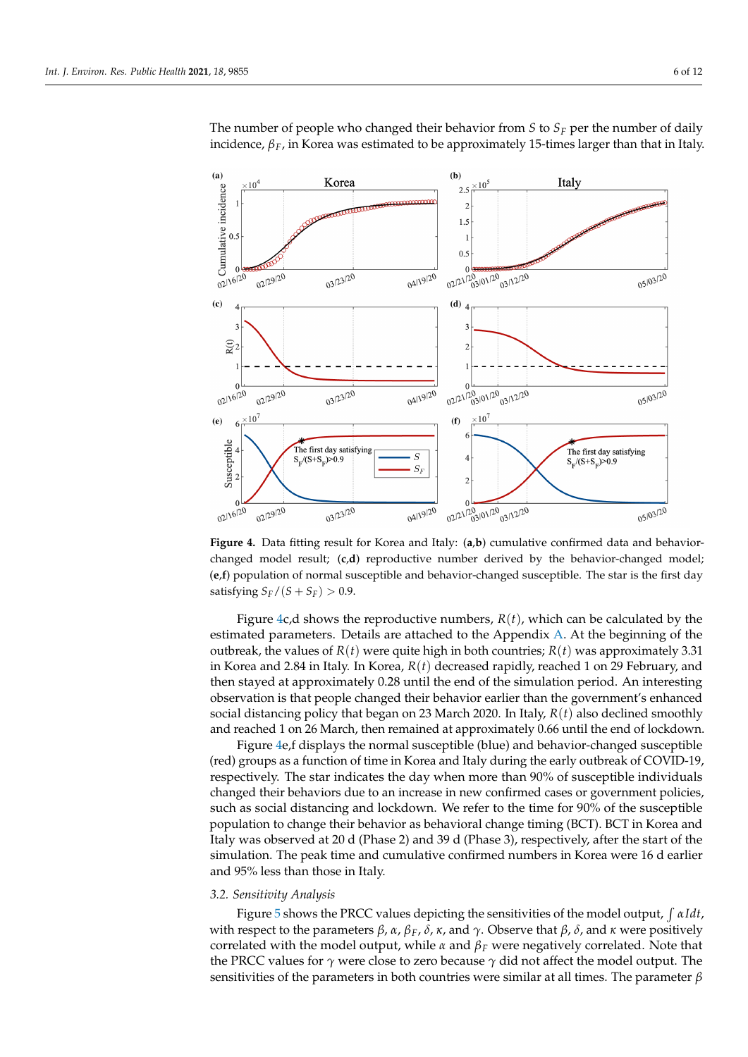<span id="page-5-0"></span> $(a)$ 

 $\left( \mathbf{c} \right)$ 

 $(e)$ 

02/16/20

02/29/20

03/23/20



The number of people who changed their behavior from *S* to *S<sup>F</sup>* per the number of daily incidence,  $\beta_F$ , in Korea was estimated to be approximately 15-times larger than that in Italy.

**Figure 4.** Data fitting result for Korea and Italy: (**a**,**b**) cumulative confirmed data and behaviorchanged model result; (**c**,**d**) reproductive number derived by the behavior-changed model; (**e**,**f**) population of normal susceptible and behavior-changed susceptible. The star is the first day satisfying  $S_F/(S + S_F) > 0.9$ .

02/21/20 01/20 03/12/20

04/19/20

Figure [4c](#page-5-0),d shows the reproductive numbers,  $R(t)$ , which can be calculated by the estimated parameters. Details are attached to the Appendix [A.](#page-9-2) At the beginning of the outbreak, the values of  $R(t)$  were quite high in both countries;  $R(t)$  was approximately 3.31 in Korea and 2.84 in Italy. In Korea, *R*(*t*) decreased rapidly, reached 1 on 29 February, and then stayed at approximately 0.28 until the end of the simulation period. An interesting observation is that people changed their behavior earlier than the government's enhanced social distancing policy that began on 23 March 2020. In Italy, *R*(*t*) also declined smoothly and reached 1 on 26 March, then remained at approximately 0.66 until the end of lockdown.

Figure [4e](#page-5-0),f displays the normal susceptible (blue) and behavior-changed susceptible (red) groups as a function of time in Korea and Italy during the early outbreak of COVID-19, respectively. The star indicates the day when more than 90% of susceptible individuals changed their behaviors due to an increase in new confirmed cases or government policies, such as social distancing and lockdown. We refer to the time for 90% of the susceptible population to change their behavior as behavioral change timing (BCT). BCT in Korea and Italy was observed at 20 d (Phase 2) and 39 d (Phase 3), respectively, after the start of the simulation. The peak time and cumulative confirmed numbers in Korea were 16 d earlier and 95% less than those in Italy.

#### *3.2. Sensitivity Analysis*

Figure [5](#page-6-0) shows the PRCC values depicting the sensitivities of the model output,  $\int \alpha I dt$ , with respect to the parameters *β*, *α*, *β*<sub>*F*</sub>, *δ*, *κ*, and  $\gamma$ . Observe that *β*, *δ*, and *κ* were positively correlated with the model output, while *α* and *β<sup>F</sup>* were negatively correlated. Note that the PRCC values for *γ* were close to zero because *γ* did not affect the model output. The sensitivities of the parameters in both countries were similar at all times. The parameter *β*

05/03/20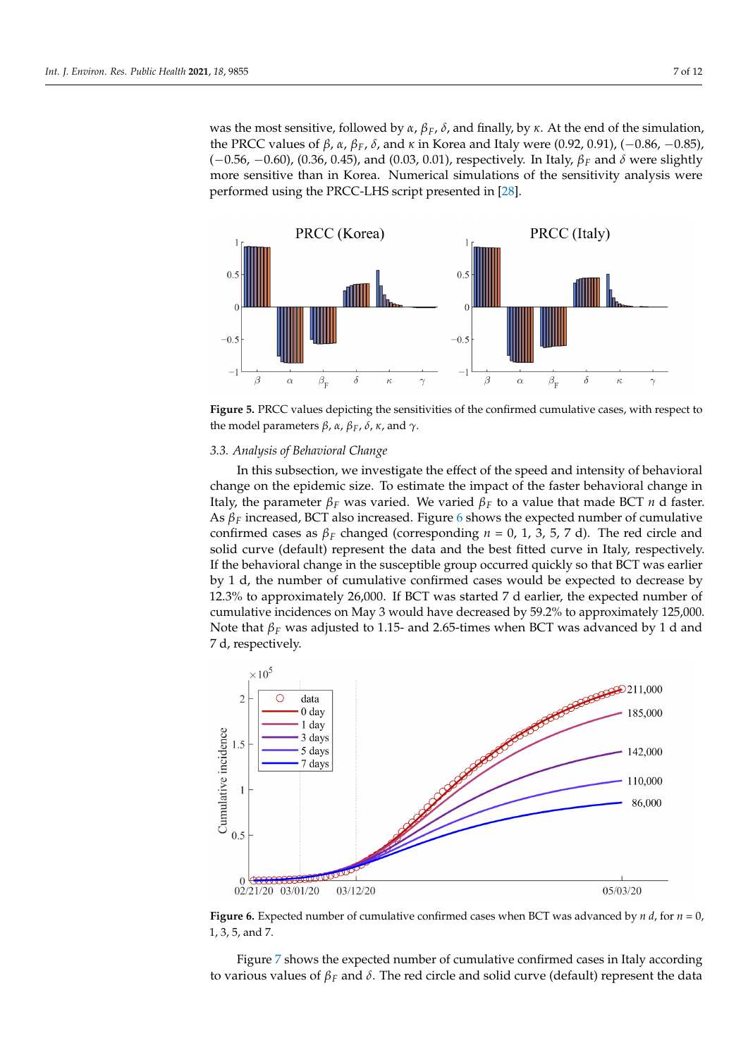was the most sensitive, followed by *α*, *βF*, *δ*, and finally, by *κ*. At the end of the simulation, the PRCC values of *β*, *α*, *βF*, *δ*, and *κ* in Korea and Italy were (0.92, 0.91), (−0.86, −0.85), (−0.56, −0.60), (0.36, 0.45), and (0.03, 0.01), respectively. In Italy, *β<sup>F</sup>* and *δ* were slightly more sensitive than in Korea. Numerical simulations of the sensitivity analysis were performed using the PRCC-LHS script presented in [\[28\]](#page-10-25).

<span id="page-6-0"></span>

**Figure 5.** PRCC values depicting the sensitivities of the confirmed cumulative cases, with respect to the model parameters *β*, *α*, *β*<sub>*F*</sub>, *δ*, *κ*, and  $γ$ .

#### *3.3. Analysis of Behavioral Change*

In this subsection, we investigate the effect of the speed and intensity of behavioral change on the epidemic size. To estimate the impact of the faster behavioral change in Italy, the parameter  $β<sub>F</sub>$  was varied. We varied  $β<sub>F</sub>$  to a value that made BCT *n* d faster. As *β<sup>F</sup>* increased, BCT also increased. Figure [6](#page-6-1) shows the expected number of cumulative confirmed cases as  $β$ <sup>*F*</sup> changed (corresponding *n* = 0, 1, 3, 5, 7 d). The red circle and solid curve (default) represent the data and the best fitted curve in Italy, respectively. If the behavioral change in the susceptible group occurred quickly so that BCT was earlier by 1 d, the number of cumulative confirmed cases would be expected to decrease by 12.3% to approximately 26,000. If BCT was started 7 d earlier, the expected number of cumulative incidences on May 3 would have decreased by 59.2% to approximately 125,000. Note that *β<sup>F</sup>* was adjusted to 1.15- and 2.65-times when BCT was advanced by 1 d and 7 d, respectively.

<span id="page-6-1"></span>

**Figure 6.** Expected number of cumulative confirmed cases when BCT was advanced by *n d*, for *n* = 0, 1, 3, 5, and 7.

Figure [7](#page-7-0) shows the expected number of cumulative confirmed cases in Italy according to various values of *β<sup>F</sup>* and *δ*. The red circle and solid curve (default) represent the data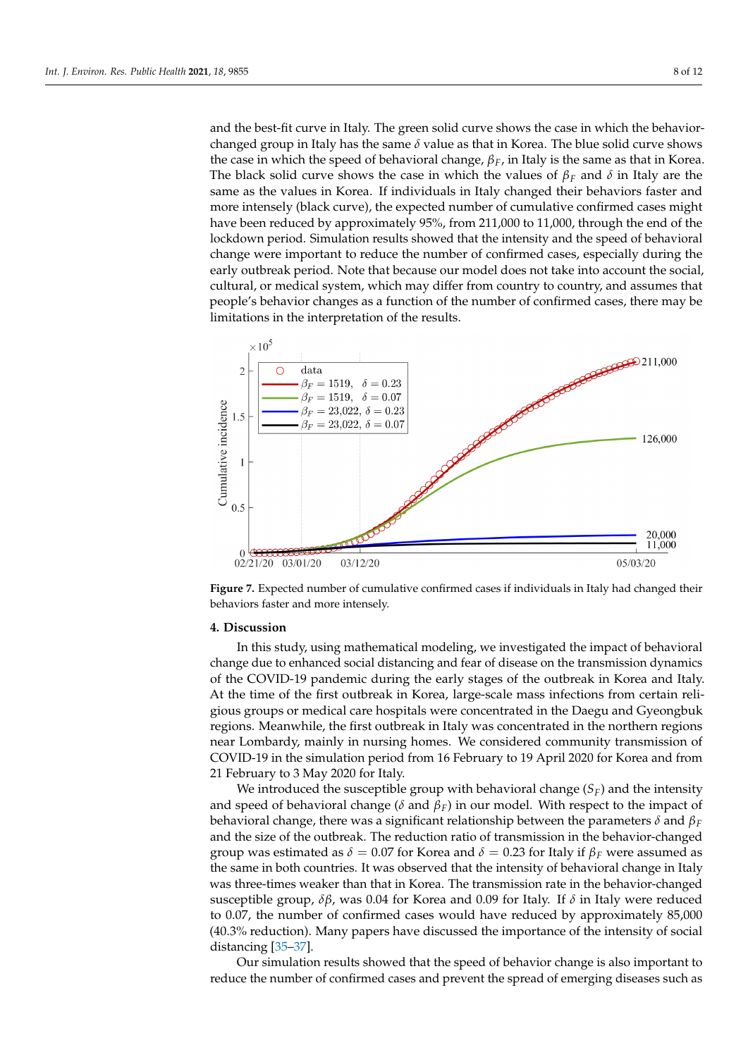and the best-fit curve in Italy. The green solid curve shows the case in which the behaviorchanged group in Italy has the same  $\delta$  value as that in Korea. The blue solid curve shows the case in which the speed of behavioral change, *βF*, in Italy is the same as that in Korea. The black solid curve shows the case in which the values of  $\beta_F$  and  $\delta$  in Italy are the same as the values in Korea. If individuals in Italy changed their behaviors faster and more intensely (black curve), the expected number of cumulative confirmed cases might have been reduced by approximately 95%, from 211,000 to 11,000, through the end of the lockdown period. Simulation results showed that the intensity and the speed of behavioral change were important to reduce the number of confirmed cases, especially during the early outbreak period. Note that because our model does not take into account the social, cultural, or medical system, which may differ from country to country, and assumes that people's behavior changes as a function of the number of confirmed cases, there may be limitations in the interpretation of the results.

<span id="page-7-0"></span>

**Figure 7.** Expected number of cumulative confirmed cases if individuals in Italy had changed their behaviors faster and more intensely.

# **4. Discussion**

In this study, using mathematical modeling, we investigated the impact of behavioral change due to enhanced social distancing and fear of disease on the transmission dynamics of the COVID-19 pandemic during the early stages of the outbreak in Korea and Italy. At the time of the first outbreak in Korea, large-scale mass infections from certain religious groups or medical care hospitals were concentrated in the Daegu and Gyeongbuk regions. Meanwhile, the first outbreak in Italy was concentrated in the northern regions near Lombardy, mainly in nursing homes. We considered community transmission of COVID-19 in the simulation period from 16 February to 19 April 2020 for Korea and from 21 February to 3 May 2020 for Italy.

We introduced the susceptible group with behavioral change  $(S_F)$  and the intensity and speed of behavioral change ( $\delta$  and  $\beta_F$ ) in our model. With respect to the impact of behavioral change, there was a significant relationship between the parameters *δ* and *β<sup>F</sup>* and the size of the outbreak. The reduction ratio of transmission in the behavior-changed group was estimated as  $\delta = 0.07$  for Korea and  $\delta = 0.23$  for Italy if  $\beta_F$  were assumed as the same in both countries. It was observed that the intensity of behavioral change in Italy was three-times weaker than that in Korea. The transmission rate in the behavior-changed susceptible group, *δβ*, was 0.04 for Korea and 0.09 for Italy. If *δ* in Italy were reduced to 0.07, the number of confirmed cases would have reduced by approximately 85,000 (40.3% reduction). Many papers have discussed the importance of the intensity of social distancing [\[35–](#page-11-1)[37\]](#page-11-2).

Our simulation results showed that the speed of behavior change is also important to reduce the number of confirmed cases and prevent the spread of emerging diseases such as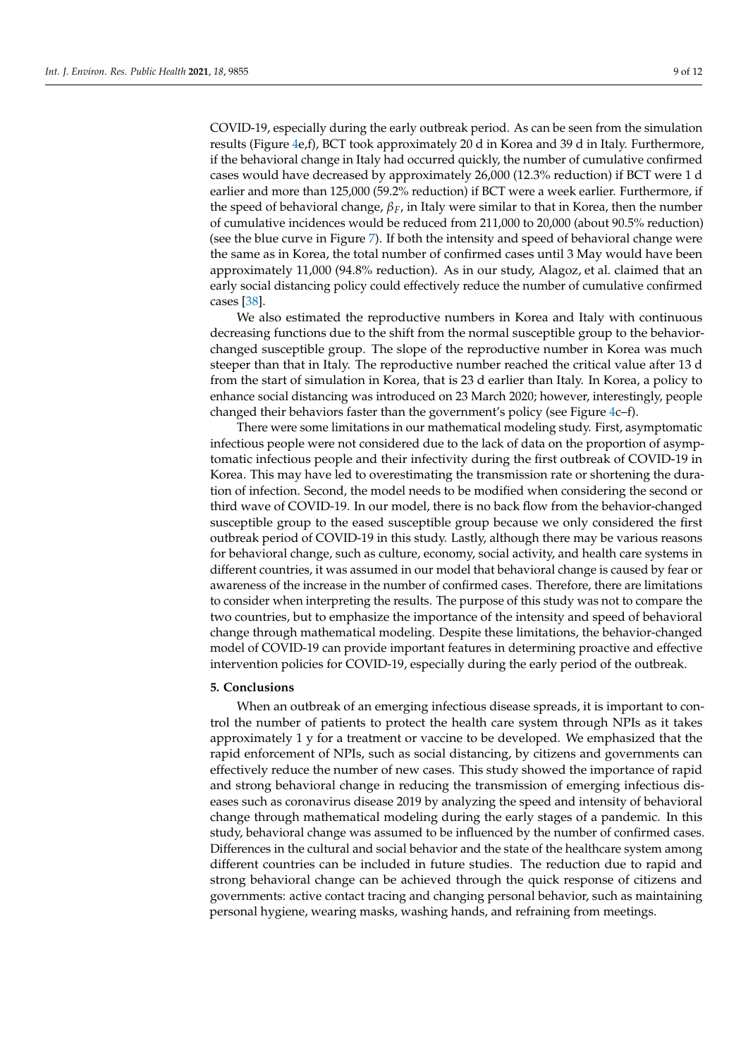COVID-19, especially during the early outbreak period. As can be seen from the simulation results (Figure [4e](#page-5-0),f), BCT took approximately 20 d in Korea and 39 d in Italy. Furthermore, if the behavioral change in Italy had occurred quickly, the number of cumulative confirmed cases would have decreased by approximately 26,000 (12.3% reduction) if BCT were 1 d earlier and more than 125,000 (59.2% reduction) if BCT were a week earlier. Furthermore, if the speed of behavioral change, *βF*, in Italy were similar to that in Korea, then the number of cumulative incidences would be reduced from 211,000 to 20,000 (about 90.5% reduction) (see the blue curve in Figure [7\)](#page-7-0). If both the intensity and speed of behavioral change were the same as in Korea, the total number of confirmed cases until 3 May would have been approximately 11,000 (94.8% reduction). As in our study, Alagoz, et al. claimed that an early social distancing policy could effectively reduce the number of cumulative confirmed cases [\[38\]](#page-11-3).

We also estimated the reproductive numbers in Korea and Italy with continuous decreasing functions due to the shift from the normal susceptible group to the behaviorchanged susceptible group. The slope of the reproductive number in Korea was much steeper than that in Italy. The reproductive number reached the critical value after 13 d from the start of simulation in Korea, that is 23 d earlier than Italy. In Korea, a policy to enhance social distancing was introduced on 23 March 2020; however, interestingly, people changed their behaviors faster than the government's policy (see Figure [4c](#page-5-0)–f).

There were some limitations in our mathematical modeling study. First, asymptomatic infectious people were not considered due to the lack of data on the proportion of asymptomatic infectious people and their infectivity during the first outbreak of COVID-19 in Korea. This may have led to overestimating the transmission rate or shortening the duration of infection. Second, the model needs to be modified when considering the second or third wave of COVID-19. In our model, there is no back flow from the behavior-changed susceptible group to the eased susceptible group because we only considered the first outbreak period of COVID-19 in this study. Lastly, although there may be various reasons for behavioral change, such as culture, economy, social activity, and health care systems in different countries, it was assumed in our model that behavioral change is caused by fear or awareness of the increase in the number of confirmed cases. Therefore, there are limitations to consider when interpreting the results. The purpose of this study was not to compare the two countries, but to emphasize the importance of the intensity and speed of behavioral change through mathematical modeling. Despite these limitations, the behavior-changed model of COVID-19 can provide important features in determining proactive and effective intervention policies for COVID-19, especially during the early period of the outbreak.

## **5. Conclusions**

When an outbreak of an emerging infectious disease spreads, it is important to control the number of patients to protect the health care system through NPIs as it takes approximately 1 y for a treatment or vaccine to be developed. We emphasized that the rapid enforcement of NPIs, such as social distancing, by citizens and governments can effectively reduce the number of new cases. This study showed the importance of rapid and strong behavioral change in reducing the transmission of emerging infectious diseases such as coronavirus disease 2019 by analyzing the speed and intensity of behavioral change through mathematical modeling during the early stages of a pandemic. In this study, behavioral change was assumed to be influenced by the number of confirmed cases. Differences in the cultural and social behavior and the state of the healthcare system among different countries can be included in future studies. The reduction due to rapid and strong behavioral change can be achieved through the quick response of citizens and governments: active contact tracing and changing personal behavior, such as maintaining personal hygiene, wearing masks, washing hands, and refraining from meetings.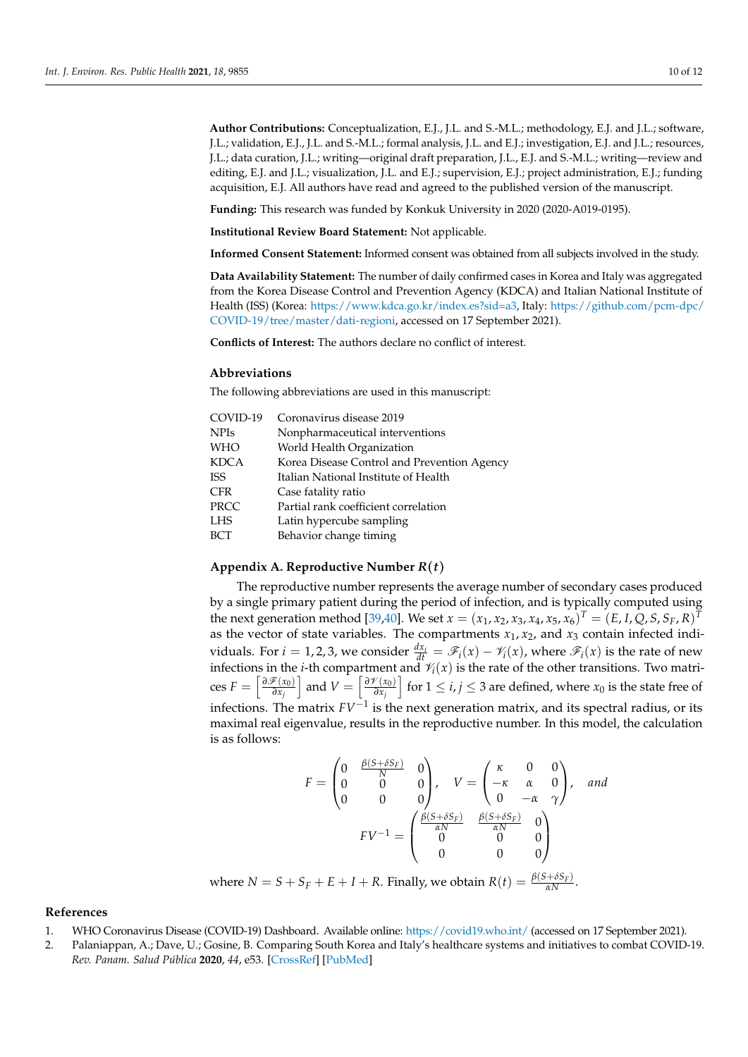**Author Contributions:** Conceptualization, E.J., J.L. and S.-M.L.; methodology, E.J. and J.L.; software, J.L.; validation, E.J., J.L. and S.-M.L.; formal analysis, J.L. and E.J.; investigation, E.J. and J.L.; resources, J.L.; data curation, J.L.; writing—original draft preparation, J.L., E.J. and S.-M.L.; writing—review and editing, E.J. and J.L.; visualization, J.L. and E.J.; supervision, E.J.; project administration, E.J.; funding acquisition, E.J. All authors have read and agreed to the published version of the manuscript.

**Funding:** This research was funded by Konkuk University in 2020 (2020-A019-0195).

**Institutional Review Board Statement:** Not applicable.

**Informed Consent Statement:** Informed consent was obtained from all subjects involved in the study.

**Data Availability Statement:** The number of daily confirmed cases in Korea and Italy was aggregated from the Korea Disease Control and Prevention Agency (KDCA) and Italian National Institute of Health (ISS) (Korea: [https://www.kdca.go.kr/index.es?sid=a3,](https://www.kdca.go.kr/index.es?sid=a3) Italy: [https://github.com/pcm-dpc/](https://github.com/pcm-dpc/COVID-19/tree/master/dati-regioni) [COVID-19/tree/master/dati-regioni,](https://github.com/pcm-dpc/COVID-19/tree/master/dati-regioni) accessed on 17 September 2021).

**Conflicts of Interest:** The authors declare no conflict of interest.

#### **Abbreviations**

The following abbreviations are used in this manuscript:

| COVID-19    | Coronavirus disease 2019                    |
|-------------|---------------------------------------------|
| <b>NPIs</b> | Nonpharmaceutical interventions             |
| <b>WHO</b>  | World Health Organization                   |
| KDCA        | Korea Disease Control and Prevention Agency |
| <b>ISS</b>  | Italian National Institute of Health        |
| <b>CFR</b>  | Case fatality ratio                         |
| PRCC        | Partial rank coefficient correlation        |
| LHS         | Latin hypercube sampling                    |
| <b>BCT</b>  | Behavior change timing                      |

# <span id="page-9-2"></span>**Appendix A. Reproductive Number** *R*(*t*)

The reproductive number represents the average number of secondary cases produced by a single primary patient during the period of infection, and is typically computed using the next generation method [\[39,](#page-11-4)[40\]](#page-11-5). We set  $x = (x_1, x_2, x_3, x_4, x_5, x_6)^T = (E, I, Q, S, S_F, R)^T$ as the vector of state variables. The compartments  $x_1, x_2$ , and  $x_3$  contain infected individuals. For *i* = 1, 2, 3, we consider  $\frac{dx_i}{dt} = \mathscr{F}_i(x) - \mathscr{V}_i(x)$ , where  $\mathscr{F}_i(x)$  is the rate of new infections in the *i*-th compartment and  $\mathcal{V}_i(x)$  is the rate of the other transitions. Two matri- $\cosh F = \left[ \frac{\partial \mathcal{F}(x_0)}{\partial x_0} \right]$ *∂x<sup>j</sup>* and  $V = \left[\frac{\partial V(x_0)}{\partial x_0}\right]$ *∂x<sup>j</sup>*  $\left[$  for  $1 \le i, j \le 3$  are defined, where  $x_0$  is the state free of infections. The matrix *FV*−<sup>1</sup> is the next generation matrix, and its spectral radius, or its maximal real eigenvalue, results in the reproductive number. In this model, the calculation is as follows:

$$
F = \begin{pmatrix} 0 & \frac{\beta(S + \delta S_F)}{N} & 0 \\ 0 & 0 & 0 \\ 0 & 0 & 0 \end{pmatrix}, \quad V = \begin{pmatrix} \kappa & 0 & 0 \\ -\kappa & \alpha & 0 \\ 0 & -\alpha & \gamma \end{pmatrix}, \quad and
$$

$$
FV^{-1} = \begin{pmatrix} \frac{\beta(S + \delta S_F)}{\alpha N} & \frac{\beta(S + \delta S_F)}{\alpha N} & 0 \\ 0 & 0 & 0 \\ 0 & 0 & 0 \end{pmatrix}
$$

where  $N = S + S_F + E + I + R$ . Finally, we obtain  $R(t) = \frac{\beta(S + \delta S_F)}{\alpha N}$ .

## **References**

- <span id="page-9-0"></span>1. WHO Coronavirus Disease (COVID-19) Dashboard. Available online: <https://covid19.who.int/> (accessed on 17 September 2021).
- <span id="page-9-1"></span>2. Palaniappan, A.; Dave, U.; Gosine, B. Comparing South Korea and Italy's healthcare systems and initiatives to combat COVID-19. *Rev. Panam. Salud Pública* **2020**, *44*, e53. [\[CrossRef\]](http://doi.org/10.26633/RPSP.2020.53) [\[PubMed\]](http://www.ncbi.nlm.nih.gov/pubmed/32454806)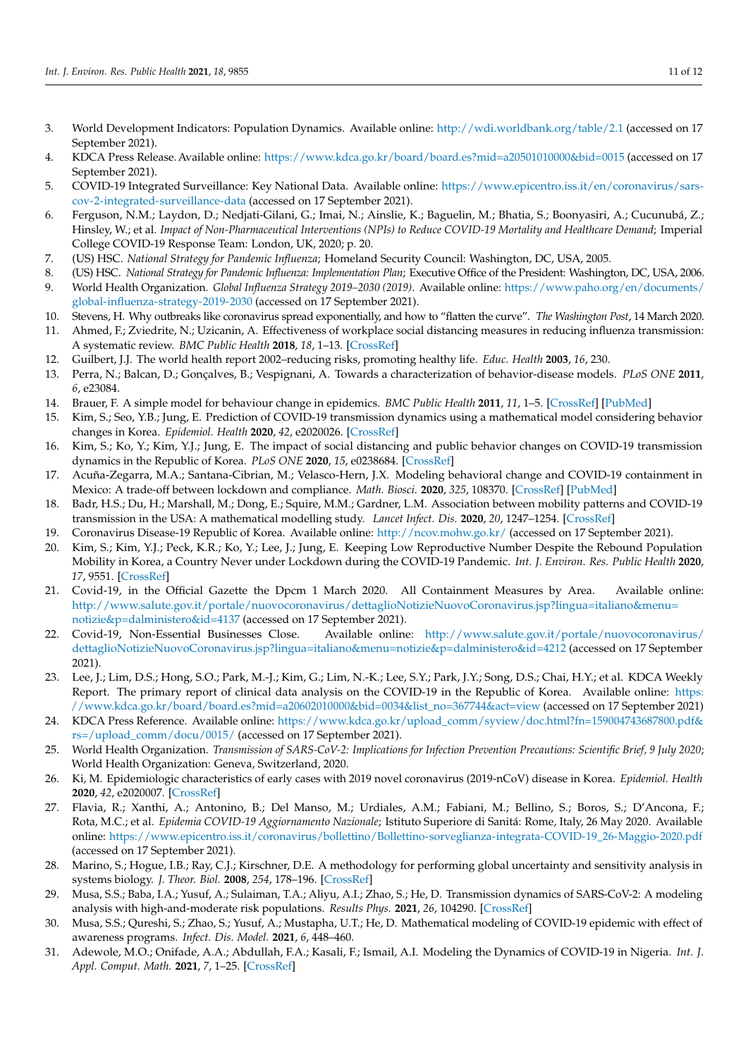- <span id="page-10-0"></span>3. World Development Indicators: Population Dynamics. Available online: <http://wdi.worldbank.org/table/2.1> (accessed on 17 September 2021).
- <span id="page-10-1"></span>4. KDCA Press Release.Available online: <https://www.kdca.go.kr/board/board.es?mid=a20501010000&bid=0015> (accessed on 17 September 2021).
- <span id="page-10-2"></span>5. COVID-19 Integrated Surveillance: Key National Data. Available online: [https://www.epicentro.iss.it/en/coronavirus/sars](https://www.epicentro.iss.it/en/coronavirus/sars-cov-2-integrated-surveillance-data)[cov-2-integrated-surveillance-data](https://www.epicentro.iss.it/en/coronavirus/sars-cov-2-integrated-surveillance-data) (accessed on 17 September 2021).
- <span id="page-10-3"></span>6. Ferguson, N.M.; Laydon, D.; Nedjati-Gilani, G.; Imai, N.; Ainslie, K.; Baguelin, M.; Bhatia, S.; Boonyasiri, A.; Cucunubá, Z.; Hinsley, W.; et al. *Impact of Non-Pharmaceutical Interventions (NPIs) to Reduce COVID-19 Mortality and Healthcare Demand*; Imperial College COVID-19 Response Team: London, UK, 2020; p. 20.
- <span id="page-10-4"></span>7. (US) HSC. *National Strategy for Pandemic Influenza*; Homeland Security Council: Washington, DC, USA, 2005.
- <span id="page-10-6"></span><span id="page-10-5"></span>8. (US) HSC. *National Strategy for Pandemic Influenza: Implementation Plan*; Executive Office of the President: Washington, DC, USA, 2006. 9. World Health Organization. *Global Influenza Strategy 2019–2030 (2019)*. Available online: [https://www.paho.org/en/documents/](https://www.paho.org/en/documents/global-influenza-strategy-2019-2030)
- <span id="page-10-7"></span>[global-influenza-strategy-2019-2030](https://www.paho.org/en/documents/global-influenza-strategy-2019-2030) (accessed on 17 September 2021). 10. Stevens, H. Why outbreaks like coronavirus spread exponentially, and how to "flatten the curve". *The Washington Post*, 14 March 2020.
- <span id="page-10-8"></span>11. Ahmed, F.; Zviedrite, N.; Uzicanin, A. Effectiveness of workplace social distancing measures in reducing influenza transmission: A systematic review. *BMC Public Health* **2018**, *18*, 1–13. [\[CrossRef\]](http://dx.doi.org/10.1186/s12889-018-5446-1)
- <span id="page-10-9"></span>12. Guilbert, J.J. The world health report 2002–reducing risks, promoting healthy life. *Educ. Health* **2003**, *16*, 230.
- <span id="page-10-10"></span>13. Perra, N.; Balcan, D.; Gonçalves, B.; Vespignani, A. Towards a characterization of behavior-disease models. *PLoS ONE* **2011**, *6*, e23084.
- <span id="page-10-11"></span>14. Brauer, F. A simple model for behaviour change in epidemics. *BMC Public Health* **2011**, *11*, 1–5. [\[CrossRef\]](http://dx.doi.org/10.1186/1471-2458-11-S1-S3) [\[PubMed\]](http://www.ncbi.nlm.nih.gov/pubmed/21356132)
- <span id="page-10-12"></span>15. Kim, S.; Seo, Y.B.; Jung, E. Prediction of COVID-19 transmission dynamics using a mathematical model considering behavior changes in Korea. *Epidemiol. Health* **2020**, *42*, e2020026. [\[CrossRef\]](http://dx.doi.org/10.4178/epih.e2020026)
- <span id="page-10-13"></span>16. Kim, S.; Ko, Y.; Kim, Y.J.; Jung, E. The impact of social distancing and public behavior changes on COVID-19 transmission dynamics in the Republic of Korea. *PLoS ONE* **2020**, *15*, e0238684. [\[CrossRef\]](http://dx.doi.org/10.1371/journal.pone.0238684)
- <span id="page-10-14"></span>17. Acuña-Zegarra, M.A.; Santana-Cibrian, M.; Velasco-Hern, J.X. Modeling behavioral change and COVID-19 containment in Mexico: A trade-off between lockdown and compliance. *Math. Biosci.* **2020**, *325*, 108370. [\[CrossRef\]](http://dx.doi.org/10.1016/j.mbs.2020.108370) [\[PubMed\]](http://www.ncbi.nlm.nih.gov/pubmed/32387384)
- <span id="page-10-15"></span>18. Badr, H.S.; Du, H.; Marshall, M.; Dong, E.; Squire, M.M.; Gardner, L.M. Association between mobility patterns and COVID-19 transmission in the USA: A mathematical modelling study. *Lancet Infect. Dis.* **2020**, *20*, 1247–1254. [\[CrossRef\]](http://dx.doi.org/10.1016/S1473-3099(20)30553-3)
- <span id="page-10-16"></span>19. Coronavirus Disease-19 Republic of Korea. Available online: <http://ncov.mohw.go.kr/> (accessed on 17 September 2021).
- <span id="page-10-17"></span>20. Kim, S.; Kim, Y.J.; Peck, K.R.; Ko, Y.; Lee, J.; Jung, E. Keeping Low Reproductive Number Despite the Rebound Population Mobility in Korea, a Country Never under Lockdown during the COVID-19 Pandemic. *Int. J. Environ. Res. Public Health* **2020**, *17*, 9551. [\[CrossRef\]](http://dx.doi.org/10.3390/ijerph17249551)
- <span id="page-10-18"></span>21. Covid-19, in the Official Gazette the Dpcm 1 March 2020. All Containment Measures by Area. Available online: [http://www.salute.gov.it/portale/nuovocoronavirus/dettaglioNotizieNuovoCoronavirus.jsp?lingua=italiano&menu=](http://www.salute.gov.it/portale/nuovocoronavirus/dettaglioNotizieNuovoCoronavirus.jsp?lingua=italiano&menu=notizie&p=dalministero&id=4137) [notizie&p=dalministero&id=4137](http://www.salute.gov.it/portale/nuovocoronavirus/dettaglioNotizieNuovoCoronavirus.jsp?lingua=italiano&menu=notizie&p=dalministero&id=4137) (accessed on 17 September 2021).
- <span id="page-10-19"></span>22. Covid-19, Non-Essential Businesses Close. Available online: [http://www.salute.gov.it/portale/nuovocoronavirus/](http://www.salute.gov.it/portale/nuovocoronavirus/dettaglioNotizieNuovoCoronavirus.jsp?lingua=italiano&menu=notizie&p=dalministero&id=4212) [dettaglioNotizieNuovoCoronavirus.jsp?lingua=italiano&menu=notizie&p=dalministero&id=4212](http://www.salute.gov.it/portale/nuovocoronavirus/dettaglioNotizieNuovoCoronavirus.jsp?lingua=italiano&menu=notizie&p=dalministero&id=4212) (accessed on 17 September 2021).
- <span id="page-10-20"></span>23. Lee, J.; Lim, D.S.; Hong, S.O.; Park, M.-J.; Kim, G.; Lim, N.-K.; Lee, S.Y.; Park, J.Y.; Song, D.S.; Chai, H.Y.; et al. KDCA Weekly Report. The primary report of clinical data analysis on the COVID-19 in the Republic of Korea. Available online: [https:](https://www.kdca.go.kr/board/board.es?mid=a20602010000&bid=0034&list_no=367744&act=view) [//www.kdca.go.kr/board/board.es?mid=a20602010000&bid=0034&list\\_no=367744&act=view](https://www.kdca.go.kr/board/board.es?mid=a20602010000&bid=0034&list_no=367744&act=view) (accessed on 17 September 2021)
- <span id="page-10-21"></span>24. KDCA Press Reference. Available online: [https://www.kdca.go.kr/upload\\_comm/syview/doc.html?fn=159004743687800.pdf&](https://www.kdca.go.kr/upload_comm/syview/doc.html?fn=159004743687800.pdf&rs=/upload_comm/docu/0015/) [rs=/upload\\_comm/docu/0015/](https://www.kdca.go.kr/upload_comm/syview/doc.html?fn=159004743687800.pdf&rs=/upload_comm/docu/0015/) (accessed on 17 September 2021).
- <span id="page-10-22"></span>25. World Health Organization. *Transmission of SARS-CoV-2: Implications for Infection Prevention Precautions: Scientific Brief, 9 July 2020*; World Health Organization: Geneva, Switzerland, 2020.
- <span id="page-10-23"></span>26. Ki, M. Epidemiologic characteristics of early cases with 2019 novel coronavirus (2019-nCoV) disease in Korea. *Epidemiol. Health* **2020**, *42*, e2020007. [\[CrossRef\]](http://dx.doi.org/10.4178/epih.e2020007)
- <span id="page-10-24"></span>27. Flavia, R.; Xanthi, A.; Antonino, B.; Del Manso, M.; Urdiales, A.M.; Fabiani, M.; Bellino, S.; Boros, S.; D'Ancona, F.; Rota, M.C.; et al. *Epidemia COVID-19 Aggiornamento Nazionale*; Istituto Superiore di Sanitá: Rome, Italy, 26 May 2020. Available online: [https://www.epicentro.iss.it/coronavirus/bollettino/Bollettino-sorveglianza-integrata-COVID-19\\_26-Maggio-2020.pdf](https://www.epicentro.iss.it/coronavirus/bollettino/Bollettino-sorveglianza-integrata-COVID-19_26-Maggio-2020.pdf) (accessed on 17 September 2021).
- <span id="page-10-25"></span>28. Marino, S.; Hogue, I.B.; Ray, C.J.; Kirschner, D.E. A methodology for performing global uncertainty and sensitivity analysis in systems biology. *J. Theor. Biol.* **2008**, *254*, 178–196. [\[CrossRef\]](http://dx.doi.org/10.1016/j.jtbi.2008.04.011)
- <span id="page-10-26"></span>29. Musa, S.S.; Baba, I.A.; Yusuf, A.; Sulaiman, T.A.; Aliyu, A.I.; Zhao, S.; He, D. Transmission dynamics of SARS-CoV-2: A modeling analysis with high-and-moderate risk populations. *Results Phys.* **2021**, *26*, 104290. [\[CrossRef\]](http://dx.doi.org/10.1016/j.rinp.2021.104290)
- 30. Musa, S.S.; Qureshi, S.; Zhao, S.; Yusuf, A.; Mustapha, U.T.; He, D. Mathematical modeling of COVID-19 epidemic with effect of awareness programs. *Infect. Dis. Model.* **2021**, *6*, 448–460.
- 31. Adewole, M.O.; Onifade, A.A.; Abdullah, F.A.; Kasali, F.; Ismail, A.I. Modeling the Dynamics of COVID-19 in Nigeria. *Int. J. Appl. Comput. Math.* **2021**, *7*, 1–25. [\[CrossRef\]](http://dx.doi.org/10.1007/s40819-021-01014-5)